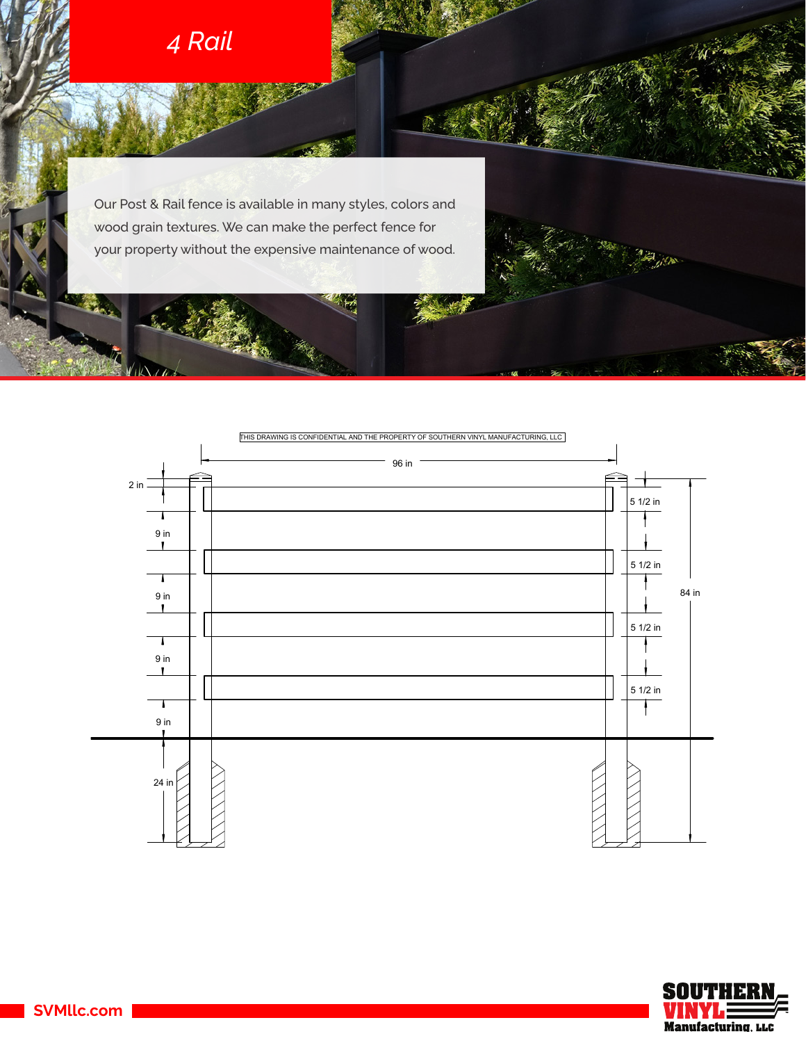

'nΩ  $\overline{16}$ 

Our Post & Rail fence is available in many styles, colors and wood grain textures. We can make the perfect fence for your property without the expensive maintenance of wood.